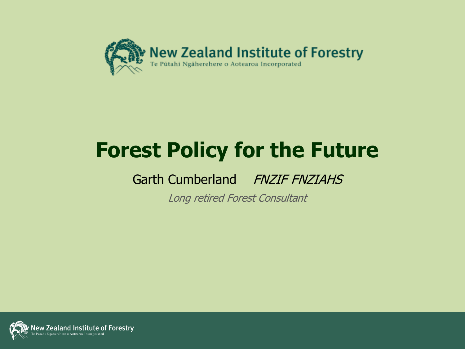

## **Forest Policy for the Future**

Garth Cumberland FNZIF FNZIAHS

Long retired Forest Consultant

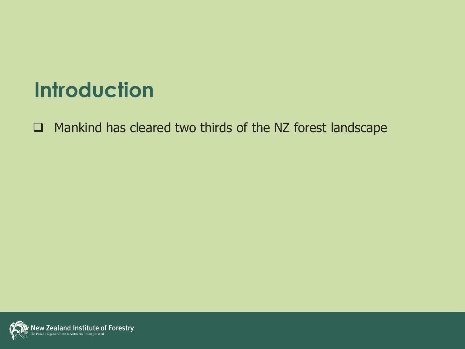### **Introduction**

Mankind has cleared two thirds of the NZ forest landscape

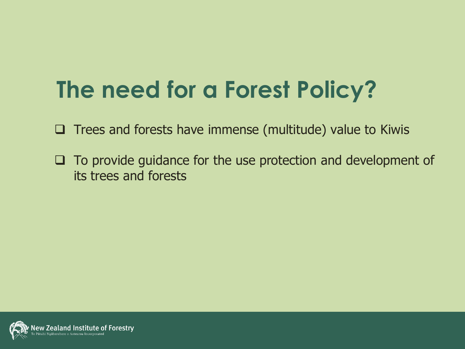# **The need for a Forest Policy?**

- $\Box$  Trees and forests have immense (multitude) value to Kiwis
- $\Box$  To provide guidance for the use protection and development of its trees and forests

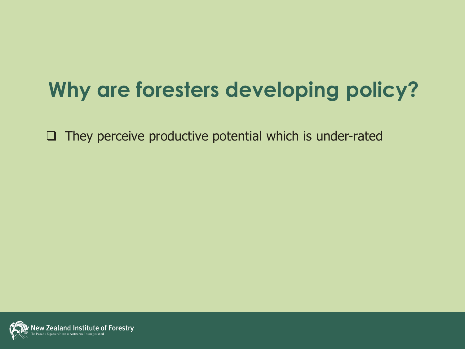## **Why are foresters developing policy?**

 $\Box$  They perceive productive potential which is under-rated

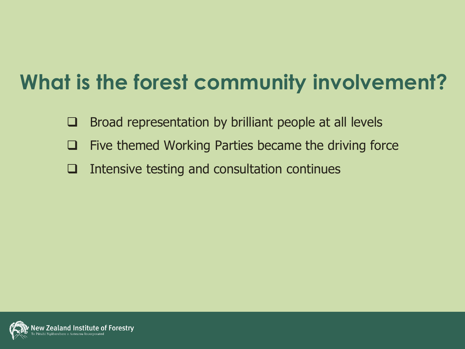## **What is the forest community involvement?**

- $\Box$  Broad representation by brilliant people at all levels
- $\Box$  Five themed Working Parties became the driving force
- $\Box$  Intensive testing and consultation continues

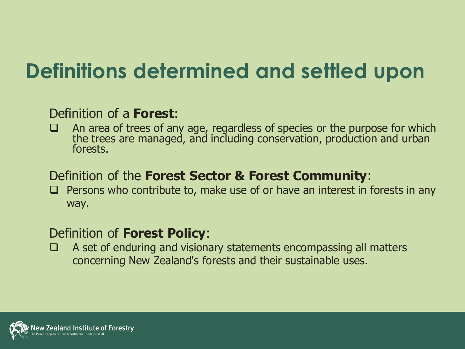## **Definitions determined and settled upon**

#### Definition of a **Forest**:

 $\Box$  An area of trees of any age, regardless of species or the purpose for which the trees are managed, and including conservation, production and urban forests.

#### Definition of the **Forest Sector & Forest Community**:

 $\Box$  Persons who contribute to, make use of or have an interest in forests in any way.

#### Definition of **Forest Policy**:

 $\Box$  A set of enduring and visionary statements encompassing all matters concerning New Zealand's forests and their sustainable uses.

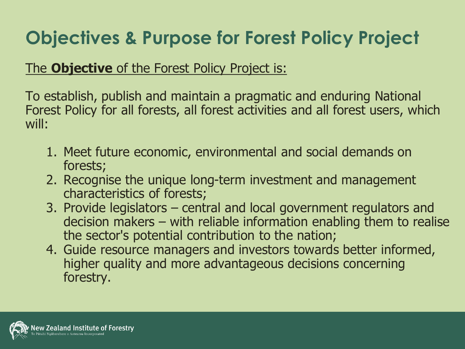### **Objectives & Purpose for Forest Policy Project**

#### The **Objective** of the Forest Policy Project is:

To establish, publish and maintain a pragmatic and enduring National Forest Policy for all forests, all forest activities and all forest users, which will:

- 1. Meet future economic, environmental and social demands on forests;
- 2. Recognise the unique long-term investment and management characteristics of forests;
- 3. Provide legislators central and local government regulators and decision makers – with reliable information enabling them to realise the sector's potential contribution to the nation;
- 4. Guide resource managers and investors towards better informed, higher quality and more advantageous decisions concerning forestry.

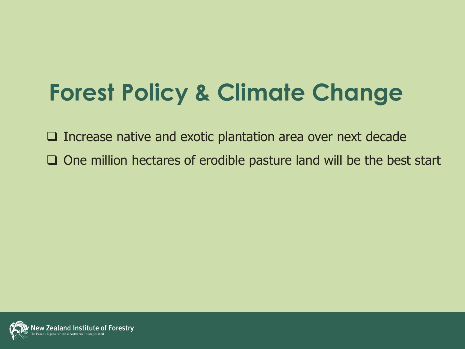# **Forest Policy & Climate Change**

 $\Box$  Increase native and exotic plantation area over next decade  $\Box$  One million hectares of erodible pasture land will be the best start

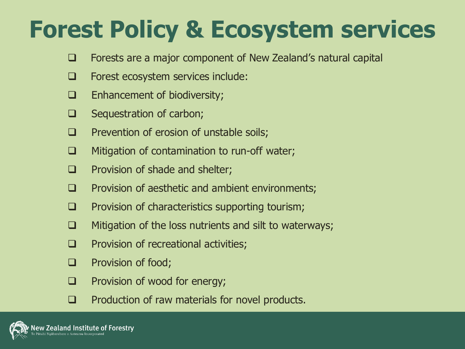# **Forest Policy & Ecosystem services**

- □ Forests are a major component of New Zealand's natural capital
- **EXEC** Forest ecosystem services include:
- $\Box$  Enhancement of biodiversity;
- $\Box$  Sequestration of carbon;
- $\Box$  Prevention of erosion of unstable soils;
- $\Box$  Mitigation of contamination to run-off water;
- $\Box$  Provision of shade and shelter;
- $\Box$  Provision of aesthetic and ambient environments;
- $\Box$  Provision of characteristics supporting tourism;
- $\Box$  Mitigation of the loss nutrients and silt to waterways;
- $\Box$  Provision of recreational activities;
- **Q** Provision of food;
- **Q** Provision of wood for energy;
- $\Box$  Production of raw materials for novel products.

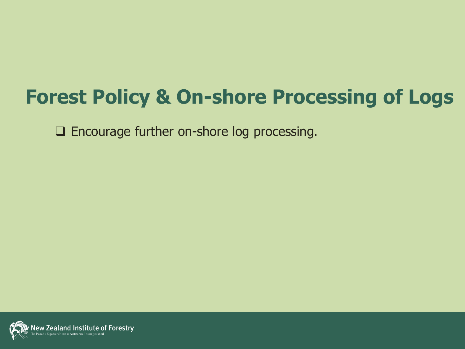### **Forest Policy & On-shore Processing of Logs**

Encourage further on-shore log processing.

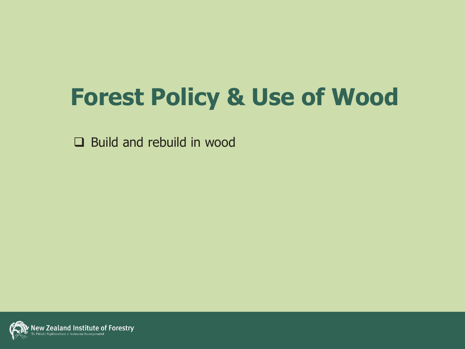# **Forest Policy & Use of Wood**

Build and rebuild in wood

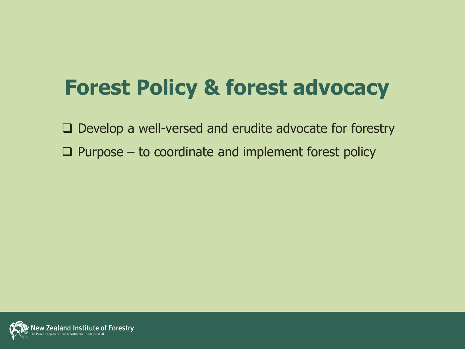## **Forest Policy & forest advocacy**

 $\Box$  Develop a well-versed and erudite advocate for forestry

 $\square$  Purpose – to coordinate and implement forest policy